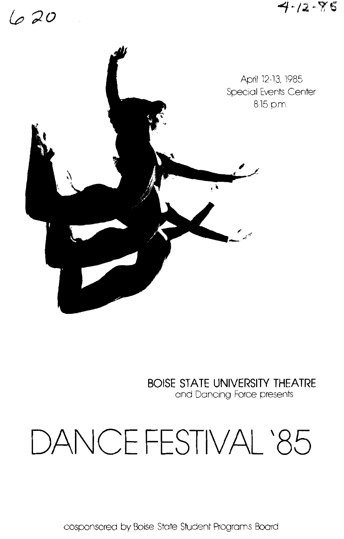## 620

 $4 - 12 - 85$ 



**BOISE STATE UNIVERSITY THEATRE**  and Dancing Force presents

# **DANCE FESTIVAL** '85

cosponsored by Boise State Student Programs Boord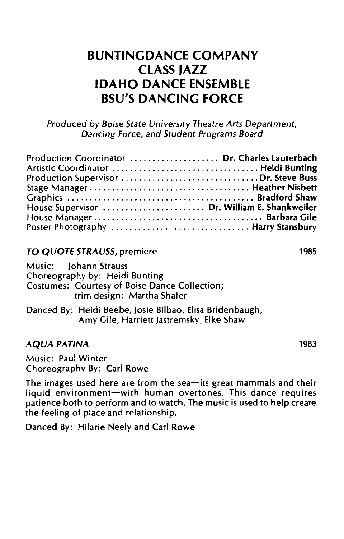### **BUNTINGDANCE COMPANY CLASS JAZZ IDAHO DANCE ENSEMBLE BSU'S DANCING FORCE**

Produced by Boise State University Theatre Arts Department, Dancing Force, and Student Programs Board

| Production Coordinator  Dr. Charles Lauterbach |  |
|------------------------------------------------|--|
|                                                |  |
|                                                |  |
|                                                |  |
| House Supervisor  Dr. William E. Shankweiler   |  |
|                                                |  |
| Poster Photography  Harry Stansbury            |  |

#### TO QUOTE STRAUSS, premiere

Music: Johann Strauss Choreography by: Heidi Bunting Costumes: Courtesy of Boise Dance Collection; trim design: Martha Shafer

Danced By: Heidi Beebe, Josie Bilbao, Elisa Bridenbaugh, Amy Gile, Harriett Jastremsky, Elke Shaw

#### AQUA PATINA

Music: Paul Winter Choreography By: Carl Rowe

The images used here are from the sea-its great mammals and their liquid environment-with human overtones. This dance requires patience both to perform and to watch. The music is used to help create the feeling of place and relationship.

Danced By: Hilarie Neely and Carl Rowe

1985

1983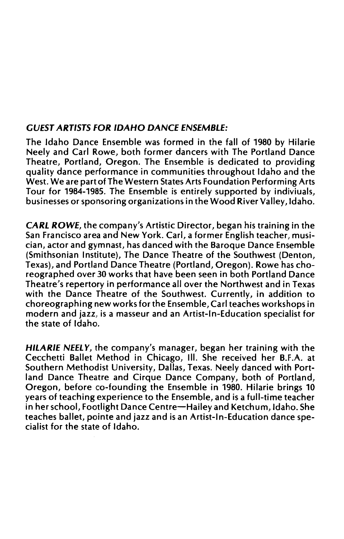#### GUEST ARTISTS FOR IDAHO DANCE ENSEMBLE:

The Idaho Dance Ensemble was formed in the fall of 1980 by Hilarie Neely and Carl Rowe, both former dancers with The Portland Dance Theatre, Portland, Oregon. The Ensemble is dedicated to providing quality dance performance in communities throughout Idaho and the West. We are part of The Western States Arts Foundation Performing Arts Tour for 1984-1985. The Ensemble is entirely supported by indiviuals, businesses or sponsoring organizations in the Wood River Valley, Idaho.

CARl. ROWE, the company's Artistic Director, began his training in the San Francisco area and New York. Carl, a former English teacher, musician, actor and gymnast, has danced with the Baroque Dance Ensemble (Smithsonian Institute), The Dance Theatre of the Southwest (Denton, Texas), and Portland Dance Theatre (Portland, Oregon). Rowe has choreographed over 30 works that have been seen in both Portland Dance Theatre's repertory in performance all over the Northwest and in Texas with the Dance Theatre of the Southwest. Currently, in addition to choreographing new works for the Ensemble, Carl teaches workshops in modern and jazz, is a masseur and an Artist-In-Education specialist for the state of Idaho.

HILARIE NEELY, the company's manager, began her training with the Cecchetti Ballet Method in Chicago, Ill. She received her B.F.A. at Southern Methodist University, Dallas, Texas. Neely danced with Portland Dance Theatre and Cirque Dance Company, both of Portland, Oregon, before co-founding the Ensemble in 1980. Hilarie brings 10 years of teaching experience to the Ensemble, and is a full-time teacher in her school, Footlight Dance Centre-Hailey and Ketchum, Idaho. She teaches ballet, pointe and jazz and is an Artist-In-Education dance specialist for the state of Idaho.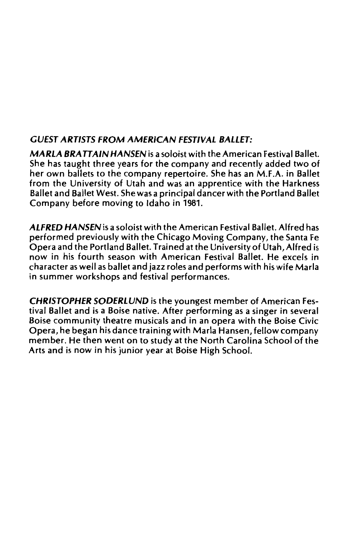#### *GUEST ARTISTS FROM AMERICAN FESTIVAL BALLET:*

*MARLA BRATTAIN HANSEN* is a soloist with the American Festival Ballet. She has taught three years for the company and recently added two of her own ballets to the company repertoire. She has an M.F.A. in Ballet from the University of Utah and was an apprentice with the Harkness Ballet and Ballet West. She was a principal dancer with the Portland Ballet Company before moving to Idaho in 1981.

*ALFRED HANSEN* is a soloist with the American Festival Ballet. Alfred has performed previously with the Chicago Moving Company, the Santa Fe Opera and the Portland Ballet. Trained at the University of Utah, Alfred is now in his fourth season with American Festival Ballet. He excels in character as well as ballet and jazz roles and performs with his wife Marla in summer workshops and festival performances.

*CHRISTOPHER SODERLUND* is the youngest member of American Festival Ballet and is a Boise native. After performing as a singer in several Boise community theatre musicals and in an opera with the Boise Civic Opera, he began his dance training with Marla Hansen, fellow company member. He then went on to study at the North Carolina School of the Arts and is now in his junior year at Boise High School.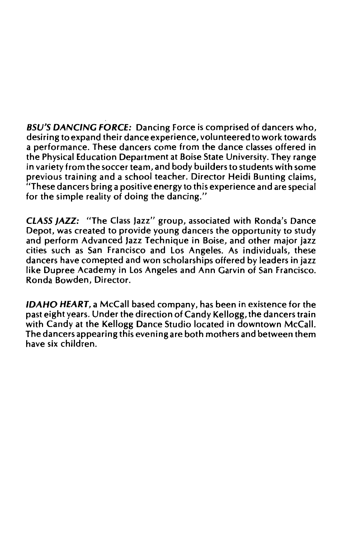BSU'S DANCING FORCE: Dancing Force is comprised of dancers who, desiring to expand their dance experience, volunteered to work towards a performance. These dancers come from the dance classes offered in the Physical Education Department at Boise State University. They range in variety from the soccer team, and body builders to students with some previous training and a school teacher. Director Heidi Bunting claims, "These dancers bring a positive energy to this experience and are special for the simple reality of doing the dancing."

CLASS JAZZ: "The Class Jazz" group, associated with Ronda's Dance Depot, was created to provide young dancers the opportunity to study and perform Advanced Jazz Technique in Boise, and other major jazz cities such as San Francisco and Los Angeles. As individuals, these dancers have comepted and won scholarships offered by leaders in jazz like Dupree Academy in Los Angeles and Ann Garvin of San Francisco. Ronda Bowden, Director.

IDAHO HEART, a McCall based company, has been in existence for the past eight years. Under the direction of Candy Kellogg, the dancers train with Candy at the Kellogg Dance Studio located in downtown McCall. The dancers appearing this evening are both mothers and between them have six children.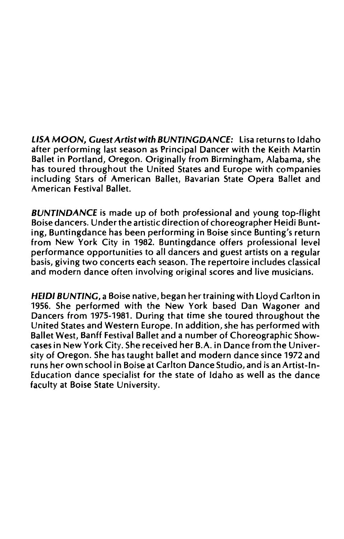LISA MOON, Guest Artist with BUNTINGDANCE: Lisa returns to Idaho after performing last season as Principal Dancer with the Keith Martin Ballet in Portland, Oregon. Originally from Birmingham, Alabama, she has toured throughout the United States and Europe with companies including Stars of American Ballet, Bavarian State Opera Ballet and American Festival Ballet.

BUNTINDANCE is made up of both professional and young top-flight Boise dancers. Under the artistic direction of choreographer Heidi Bunting, Buntingdance has been performing in Boise since Bunting's return from New York City in 1982. Buntingdance offers professional level performance opportunities to all dancers and guest artists on a regular basis, giving two concerts each season. The repertoire includes classical and modern dance often involving original scores and live musicians.

HEIDI BUNTING, a Boise native, began her training with Lloyd Carlton in 1956. She performed with the New York based Dan Wagoner and Dancers from 1975-1981. During that time she toured throughout the United States and Western Europe. In addition, she has performed with Ballet West, Banff festival Ballet and a number of Choreographic Showcases in New York City. She received her B.A. in Dance from the University of Oregon. She has taught ballet and modern dance since 1972 and runs her own school in Boise at Carlton Dance Studio, and is an Artist-In-Education dance specialist for the state of Idaho as well as the dance faculty at Boise State University.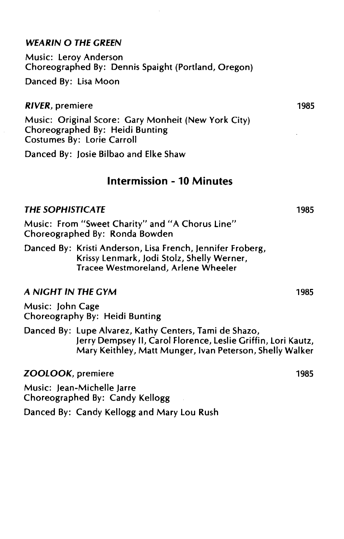#### WEARIN O THE GREEN

Music: leroy Anderson Choreographed By: Dennis Spaight (Portland, Oregon)

Danced By: lisa Moon

#### RIVER, premiere

Music: Original Score: Gary Monheit (New York City) Choreographed By: Heidi Bunting Costumes By: lorie Carroll

Danced By: Josie Bilbao and Elke Shaw

#### Intermission - 10 Minutes

#### THE SOPHISTICATE

Music: From "Sweet Charity" and "A Chorus line" Choreographed By: Ronda Bowden

Danced By: Kristi Anderson, lisa French, Jennifer Froberg, Krissy lenmark, Jodi Stolz, Shelly Werner, Tracee Westmoreland, Arlene Wheeler

#### A NIGHT IN THE GYM

Music: John Cage Choreography By: Heidi Bunting

Danced By: lupe Alvarez, Kathy Centers, Tami de Shazo, Jerry Dempsey II, Carol Florence, leslie Griffin, Lori Kautz, Mary Keithley, Matt Munger, Ivan Peterson, Shelly Walker

ZOOLOOK, premiere

Music: Jean-Michelle Jarre Choreographed By: Candy Kellogg

Danced By: Candy Kellogg and Mary lou Rush

1985

1985

1985

1985